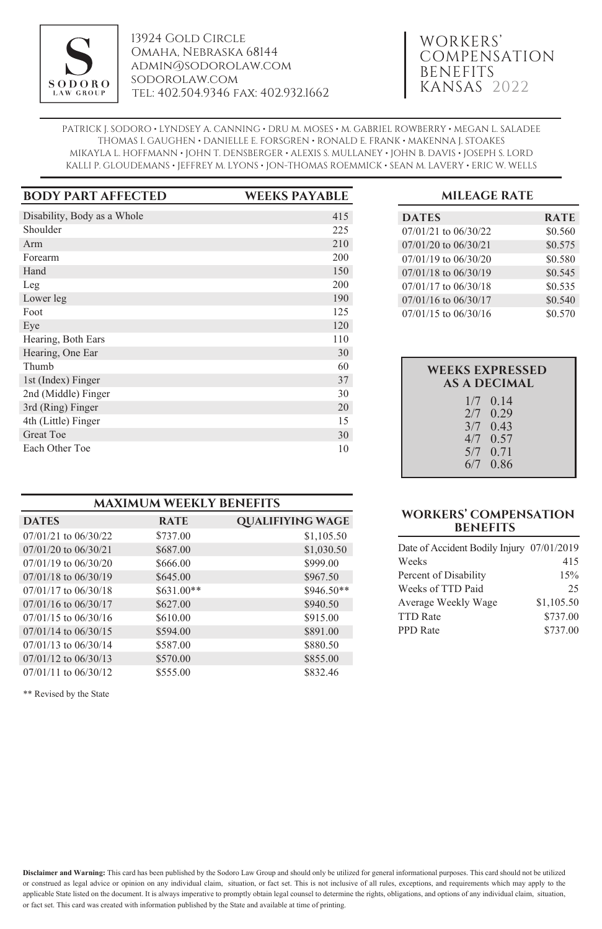

13924 Gold Circle Omaha, Nebraska 68144 admin@sodorolaw.com sodorolaw.com tel: 402.504.9346 fax: 402.932.1662

## WORKERS' COMPENSATION BENEFITS KANSAS 2022

PATRICK J. SODORO • LYNDSEY A. CANNING • DRU M. MOSES • M. GABRIEL ROWBERRY • MEGAN L. SALADEE THOMAS I. GAUGHEN • DANIELLE E. FORSGREN • RONALD E. FRANK • MAKENNA J. STOAKES MIKAYLA L. HOFFMANN • JOHN T. DENSBERGER • ALEXIS S. MULLANEY • JOHN B. DAVIS • JOSEPH S. LORD KALLI P. GLOUDEMANS • JEFFREY M. LYONS • JON-THOMAS ROEMMICK • SEAN M. LAVERY • ERIC W. WELLS

| <b>BODY PART AFFECTED</b>   | <b>WEEKS PAYABLE</b> |
|-----------------------------|----------------------|
| Disability, Body as a Whole | 415                  |
| Shoulder                    | 225                  |
| Arm                         | 210                  |
| Forearm                     | 200                  |
| Hand                        | 150                  |
| Leg                         | 200                  |
| Lower leg                   | 190                  |
| Foot                        | 125                  |
| Eye                         | 120                  |
| Hearing, Both Ears          | 110                  |
| Hearing, One Ear            | 30                   |
| Thumb                       | 60                   |
| 1st (Index) Finger          | 37                   |
| 2nd (Middle) Finger         | 30                   |
| 3rd (Ring) Finger           | 20                   |
| 4th (Little) Finger         | 15                   |
| <b>Great Toe</b>            | 30                   |
| Each Other Toe              | 10                   |

| <b>MAXIMUM WEEKLY BENEFITS</b> |              |                         |  |  |
|--------------------------------|--------------|-------------------------|--|--|
| <b>DATES</b>                   | <b>RATE</b>  | <b>QUALIFIYING WAGE</b> |  |  |
| $07/01/21$ to $06/30/22$       | \$737.00     | \$1,105.50              |  |  |
| $07/01/20$ to $06/30/21$       | \$687.00     | \$1,030.50              |  |  |
| $07/01/19$ to $06/30/20$       | \$666.00     | \$999.00                |  |  |
| 07/01/18 to 06/30/19           | \$645.00     | \$967.50                |  |  |
| $07/01/17$ to $06/30/18$       | $$631.00**$$ | $$946.50**$             |  |  |
| $07/01/16$ to $06/30/17$       | \$627.00     | \$940.50                |  |  |
| $07/01/15$ to $06/30/16$       | \$610.00     | \$915.00                |  |  |
| $07/01/14$ to $06/30/15$       | \$594.00     | \$891.00                |  |  |
| $07/01/13$ to $06/30/14$       | \$587.00     | \$880.50                |  |  |
| $07/01/12$ to $06/30/13$       | \$570.00     | \$855.00                |  |  |
| 07/01/11 to 06/30/12           | \$555.00     | \$832.46                |  |  |

\*\* Revised by the State

### **MILEAGE RATE**

| <b>DATES</b>             | <b>RATE</b> |
|--------------------------|-------------|
| $07/01/21$ to $06/30/22$ | \$0.560     |
| $07/01/20$ to $06/30/21$ | \$0.575     |
| 07/01/19 to 06/30/20     | \$0.580     |
| $07/01/18$ to $06/30/19$ | \$0.545     |
| 07/01/17 to 06/30/18     | \$0.535     |
| $07/01/16$ to $06/30/17$ | \$0.540     |
| $07/01/15$ to $06/30/16$ | \$0.570     |

| <b>WEEKS EXPRESSED</b><br>AS A DECIMAL |                                                                                  |  |  |
|----------------------------------------|----------------------------------------------------------------------------------|--|--|
|                                        | $1/7$ 0.14<br>$2/7$ 0.29<br>$3/7$ 0.43<br>$4/7$ 0.57<br>$5/7$ 0.71<br>$6/7$ 0.86 |  |  |

### **WORKERS' COMPENSATION BENEFITS**

| Date of Accident Bodily Injury 07/01/2019 |            |
|-------------------------------------------|------------|
| Weeks                                     | 415        |
| Percent of Disability                     | 15%        |
| Weeks of TTD Paid                         | 25         |
| Average Weekly Wage                       | \$1,105.50 |
| <b>TTD Rate</b>                           | \$737.00   |
| <b>PPD</b> Rate                           | \$737.00   |

**Disclaimer and Warning:** This card has been published by the Sodoro Law Group and should only be utilized for general informational purposes. This card should not be utilized or construed as legal advice or opinion on any individual claim, situation, or fact set. This is not inclusive of all rules, exceptions, and requirements which may apply to the applicable State listed on the document. It is always imperative to promptly obtain legal counsel to determine the rights, obligations, and options of any individual claim, situation, or fact set. This card was created with information published by the State and available at time of printing.